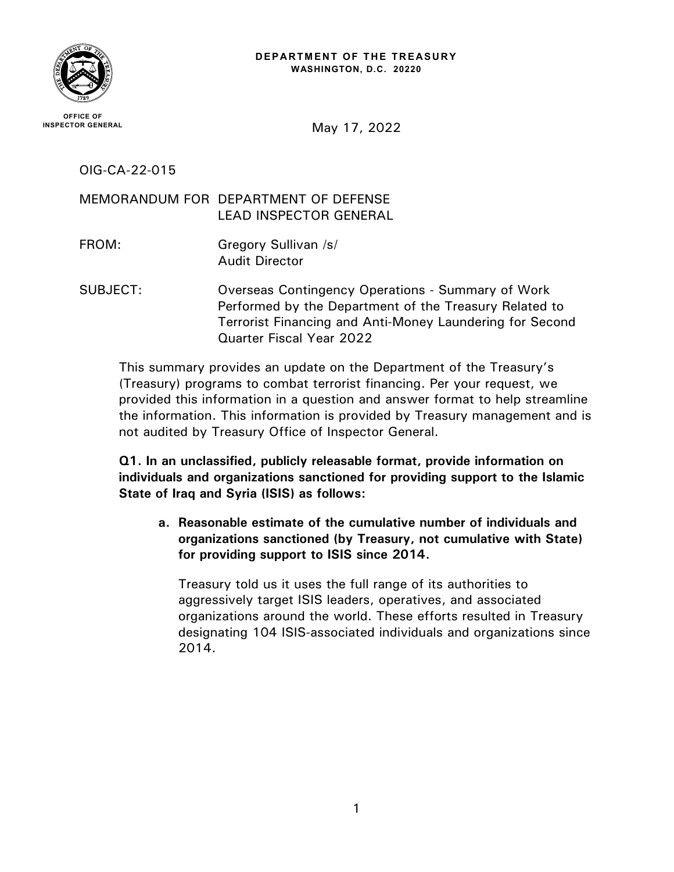

May 17, 2022

OIG-CA-22-015

MEMORANDUM FOR DEPARTMENT OF DEFENSE LEAD INSPECTOR GENERAL

- FROM: Gregory Sullivan /s/ Audit Director
- SUBJECT: Overseas Contingency Operations Summary of Work Performed by the Department of the Treasury Related to Terrorist Financing and Anti-Money Laundering for Second Quarter Fiscal Year 2022

This summary provides an update on the Department of the Treasury's (Treasury) programs to combat terrorist financing. Per your request, we provided this information in a question and answer format to help streamline the information. This information is provided by Treasury management and is not audited by Treasury Office of Inspector General.

**Q1. In an unclassified, publicly releasable format, provide information on individuals and organizations sanctioned for providing support to the Islamic State of Iraq and Syria (ISIS) as follows:** 

**a. Reasonable estimate of the cumulative number of individuals and organizations sanctioned (by Treasury, not cumulative with State) for providing support to ISIS since 2014.**

Treasury told us it uses the full range of its authorities to aggressively target ISIS leaders, operatives, and associated organizations around the world. These efforts resulted in Treasury designating 104 ISIS-associated individuals and organizations since 2014.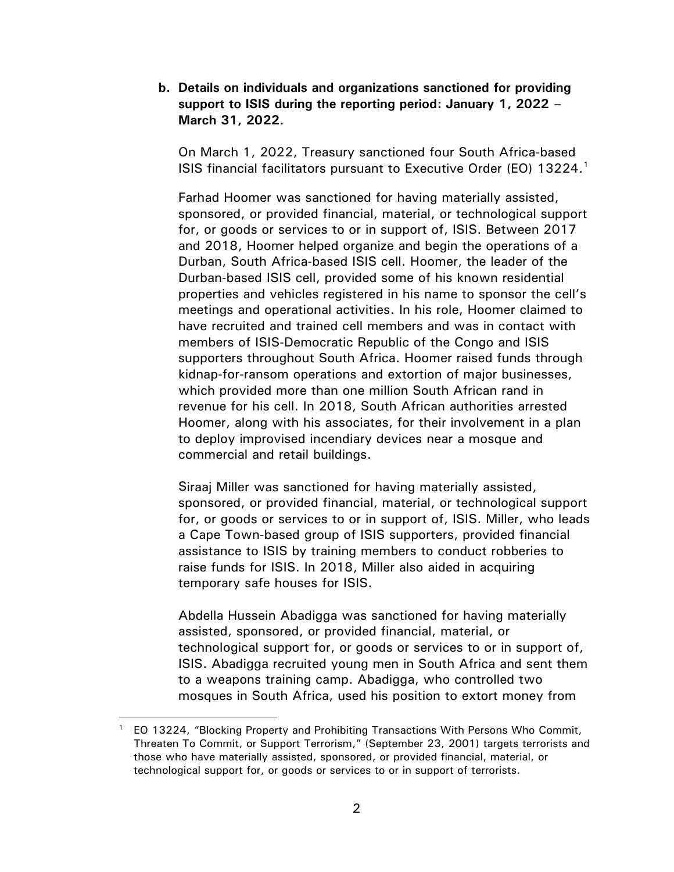**b. Details on individuals and organizations sanctioned for providing support to ISIS during the reporting period: January 1, 2022 – March 31, 2022.** 

On March 1, 2022, Treasury sanctioned four South Africa-based ISIS financial facilitators pursuant to Executive Order (EO) [1](#page-1-0)3224.<sup>1</sup>

Farhad Hoomer was sanctioned for having materially assisted, sponsored, or provided financial, material, or technological support for, or goods or services to or in support of, ISIS. Between 2017 and 2018, Hoomer helped organize and begin the operations of a Durban, South Africa-based ISIS cell. Hoomer, the leader of the Durban-based ISIS cell, provided some of his known residential properties and vehicles registered in his name to sponsor the cell's meetings and operational activities. In his role, Hoomer claimed to have recruited and trained cell members and was in contact with members of ISIS-Democratic Republic of the Congo and ISIS supporters throughout South Africa. Hoomer raised funds through kidnap-for-ransom operations and extortion of major businesses, which provided more than one million South African rand in revenue for his cell. In 2018, South African authorities arrested Hoomer, along with his associates, for their involvement in a plan to deploy improvised incendiary devices near a mosque and commercial and retail buildings.

Siraaj Miller was sanctioned for having materially assisted, sponsored, or provided financial, material, or technological support for, or goods or services to or in support of, ISIS. Miller, who leads a Cape Town-based group of ISIS supporters, provided financial assistance to ISIS by training members to conduct robberies to raise funds for ISIS. In 2018, Miller also aided in acquiring temporary safe houses for ISIS.

Abdella Hussein Abadigga was sanctioned for having materially assisted, sponsored, or provided financial, material, or technological support for, or goods or services to or in support of, ISIS. Abadigga recruited young men in South Africa and sent them to a weapons training camp. Abadigga, who controlled two mosques in South Africa, used his position to extort money from

<span id="page-1-0"></span><sup>1</sup> EO 13224, "Blocking Property and Prohibiting Transactions With Persons Who Commit, Threaten To Commit, or Support Terrorism," (September 23, 2001) targets terrorists and those who have materially assisted, sponsored, or provided financial, material, or technological support for, or goods or services to or in support of terrorists.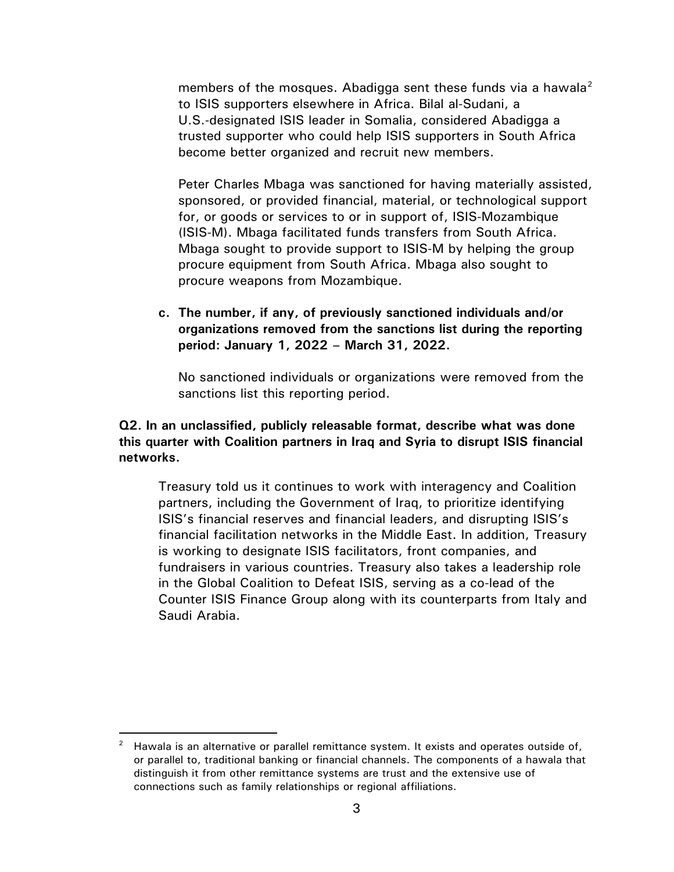members of the mosques. Abadigga sent these funds via a hawala<sup>[2](#page-2-0)</sup> to ISIS supporters elsewhere in Africa. Bilal al-Sudani, a U.S.-designated ISIS leader in Somalia, considered Abadigga a trusted supporter who could help ISIS supporters in South Africa become better organized and recruit new members.

Peter Charles Mbaga was sanctioned for having materially assisted, sponsored, or provided financial, material, or technological support for, or goods or services to or in support of, ISIS-Mozambique (ISIS-M). Mbaga facilitated funds transfers from South Africa. Mbaga sought to provide support to ISIS-M by helping the group procure equipment from South Africa. Mbaga also sought to procure weapons from Mozambique.

**c. The number, if any, of previously sanctioned individuals and/or organizations removed from the sanctions list during the reporting period: January 1, 2022 – March 31, 2022.** 

No sanctioned individuals or organizations were removed from the sanctions list this reporting period.

## **Q2. In an unclassified, publicly releasable format, describe what was done this quarter with Coalition partners in Iraq and Syria to disrupt ISIS financial networks.**

Treasury told us it continues to work with interagency and Coalition partners, including the Government of Iraq, to prioritize identifying ISIS's financial reserves and financial leaders, and disrupting ISIS's financial facilitation networks in the Middle East. In addition, Treasury is working to designate ISIS facilitators, front companies, and fundraisers in various countries. Treasury also takes a leadership role in the Global Coalition to Defeat ISIS, serving as a co-lead of the Counter ISIS Finance Group along with its counterparts from Italy and Saudi Arabia.

<span id="page-2-0"></span> $2$  Hawala is an alternative or parallel remittance system. It exists and operates outside of, or parallel to, traditional banking or financial channels. The components of a hawala that distinguish it from other remittance systems are trust and the extensive use of connections such as family relationships or regional affiliations.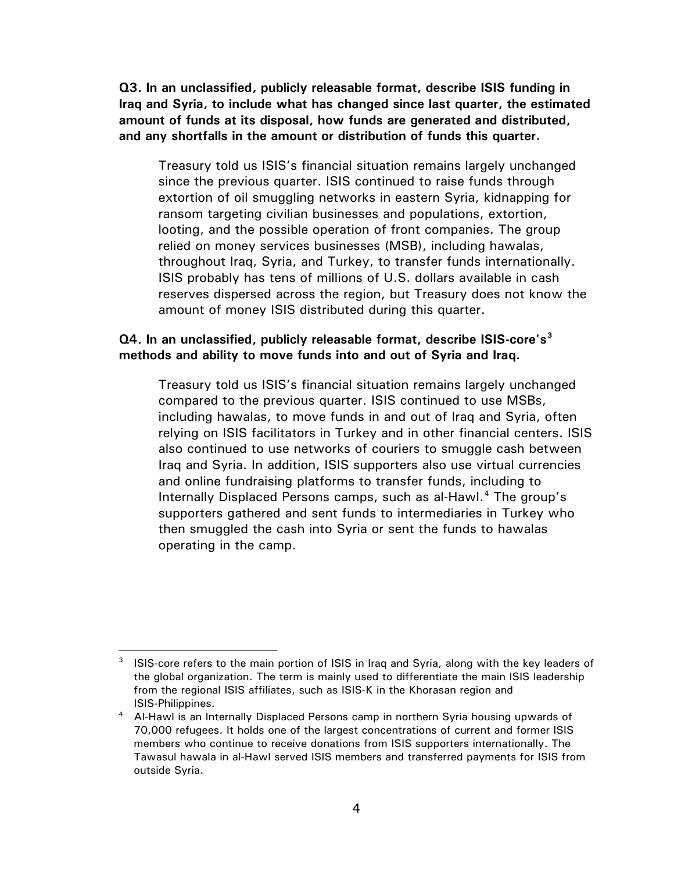**Q3. In an unclassified, publicly releasable format, describe ISIS funding in Iraq and Syria, to include what has changed since last quarter, the estimated amount of funds at its disposal, how funds are generated and distributed, and any shortfalls in the amount or distribution of funds this quarter.**

Treasury told us ISIS's financial situation remains largely unchanged since the previous quarter. ISIS continued to raise funds through extortion of oil smuggling networks in eastern Syria, kidnapping for ransom targeting civilian businesses and populations, extortion, looting, and the possible operation of front companies. The group relied on money services businesses (MSB), including hawalas, throughout Iraq, Syria, and Turkey, to transfer funds internationally. ISIS probably has tens of millions of U.S. dollars available in cash reserves dispersed across the region, but Treasury does not know the amount of money ISIS distributed during this quarter.

## **Q4. In an unclassified, publicly releasable format, describe ISIS-core's[3](#page-3-0) methods and ability to move funds into and out of Syria and Iraq.**

Treasury told us ISIS's financial situation remains largely unchanged compared to the previous quarter. ISIS continued to use MSBs, including hawalas, to move funds in and out of Iraq and Syria, often relying on ISIS facilitators in Turkey and in other financial centers. ISIS also continued to use networks of couriers to smuggle cash between Iraq and Syria. In addition, ISIS supporters also use virtual currencies and online fundraising platforms to transfer funds, including to Internally Displaced Persons camps, such as al-Hawl.<sup>[4](#page-3-1)</sup> The group's supporters gathered and sent funds to intermediaries in Turkey who then smuggled the cash into Syria or sent the funds to hawalas operating in the camp.

<span id="page-3-0"></span><sup>3</sup> ISIS-core refers to the main portion of ISIS in Iraq and Syria, along with the key leaders of the global organization. The term is mainly used to differentiate the main ISIS leadership from the regional ISIS affiliates, such as ISIS-K in the Khorasan region and

<span id="page-3-1"></span>ISIS-Philippines. 4 Al-Hawl is an Internally Displaced Persons camp in northern Syria housing upwards of 70,000 refugees. It holds one of the largest concentrations of current and former ISIS members who continue to receive donations from ISIS supporters internationally. The Tawasul hawala in al-Hawl served ISIS members and transferred payments for ISIS from outside Syria.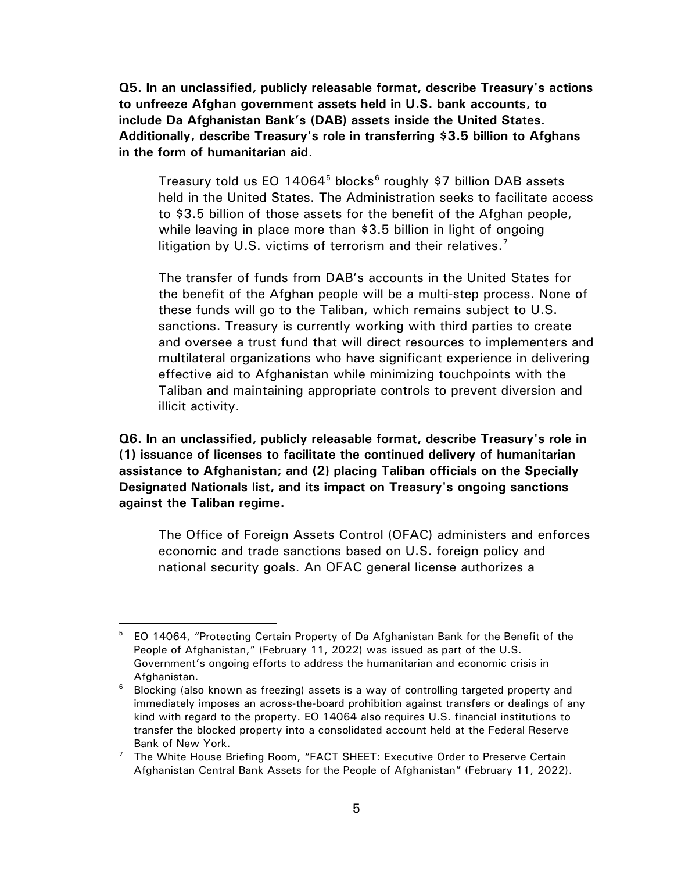**Q5. In an unclassified, publicly releasable format, describe Treasury's actions to unfreeze Afghan government assets held in U.S. bank accounts, to include Da Afghanistan Bank's (DAB) assets inside the United States. Additionally, describe Treasury's role in transferring \$3.5 billion to Afghans in the form of humanitarian aid.**

Treasury told us EO 14064<sup>[5](#page-4-0)</sup> blocks<sup>[6](#page-4-1)</sup> roughly \$7 billion DAB assets held in the United States. The Administration seeks to facilitate access to \$3.5 billion of those assets for the benefit of the Afghan people, while leaving in place more than \$3.5 billion in light of ongoing litigation by U.S. victims of terrorism and their relatives.<sup>[7](#page-4-2)</sup>

The transfer of funds from DAB's accounts in the United States for the benefit of the Afghan people will be a multi-step process. None of these funds will go to the Taliban, which remains subject to U.S. sanctions. Treasury is currently working with third parties to create and oversee a trust fund that will direct resources to implementers and multilateral organizations who have significant experience in delivering effective aid to Afghanistan while minimizing touchpoints with the Taliban and maintaining appropriate controls to prevent diversion and illicit activity.

**Q6. In an unclassified, publicly releasable format, describe Treasury's role in (1) issuance of licenses to facilitate the continued delivery of humanitarian assistance to Afghanistan; and (2) placing Taliban officials on the Specially Designated Nationals list, and its impact on Treasury's ongoing sanctions against the Taliban regime.**

The Office of Foreign Assets Control (OFAC) administers and enforces economic and trade sanctions based on U.S. foreign policy and national security goals. An OFAC general license authorizes a

<span id="page-4-0"></span><sup>&</sup>lt;sup>5</sup> EO 14064, "Protecting Certain Property of Da Afghanistan Bank for the Benefit of the People of Afghanistan," (February 11, 2022) was issued as part of the U.S. Government's ongoing efforts to address the humanitarian and economic crisis in Afghanistan.<br><sup>6</sup> Blocking (alse

<span id="page-4-1"></span>Blocking (also known as freezing) assets is a way of controlling targeted property and immediately imposes an across-the-board prohibition against transfers or dealings of any kind with regard to the property. EO 14064 also requires U.S. financial institutions to transfer the blocked property into a consolidated account held at the Federal Reserve Bank of New York.

<span id="page-4-2"></span><sup>&</sup>lt;sup>7</sup> The White House Briefing Room, "FACT SHEET: Executive Order to Preserve Certain Afghanistan Central Bank Assets for the People of Afghanistan" (February 11, 2022).